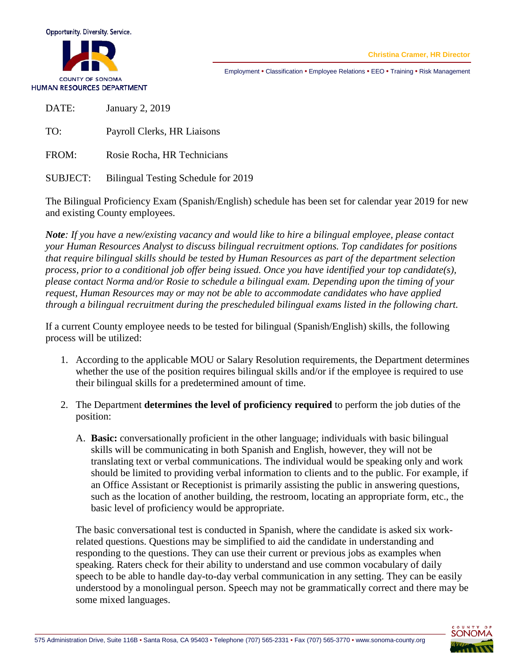

**Christina Cramer, HR Director**

Employment • Classification • Employee Relations • EEO • Training • Risk Management

DATE: January 2, 2019

TO: Payroll Clerks, HR Liaisons

FROM: Rosie Rocha, HR Technicians

SUBJECT: Bilingual Testing Schedule for 2019

The Bilingual Proficiency Exam (Spanish/English) schedule has been set for calendar year 2019 for new and existing County employees.

*Note: If you have a new/existing vacancy and would like to hire a bilingual employee, please contact your Human Resources Analyst to discuss bilingual recruitment options. Top candidates for positions that require bilingual skills should be tested by Human Resources as part of the department selection process, prior to a conditional job offer being issued. Once you have identified your top candidate(s), please contact Norma and/or Rosie to schedule a bilingual exam. Depending upon the timing of your request, Human Resources may or may not be able to accommodate candidates who have applied through a bilingual recruitment during the prescheduled bilingual exams listed in the following chart.* 

If a current County employee needs to be tested for bilingual (Spanish/English) skills, the following process will be utilized:

- 1. According to the applicable MOU or Salary Resolution requirements, the Department determines whether the use of the position requires bilingual skills and/or if the employee is required to use their bilingual skills for a predetermined amount of time.
- 2. The Department **determines the level of proficiency required** to perform the job duties of the position:
	- A. **Basic:** conversationally proficient in the other language; individuals with basic bilingual skills will be communicating in both Spanish and English, however, they will not be translating text or verbal communications. The individual would be speaking only and work should be limited to providing verbal information to clients and to the public. For example, if an Office Assistant or Receptionist is primarily assisting the public in answering questions, such as the location of another building, the restroom, locating an appropriate form, etc., the basic level of proficiency would be appropriate.

The basic conversational test is conducted in Spanish, where the candidate is asked six workrelated questions. Questions may be simplified to aid the candidate in understanding and responding to the questions. They can use their current or previous jobs as examples when speaking. Raters check for their ability to understand and use common vocabulary of daily speech to be able to handle day-to-day verbal communication in any setting. They can be easily understood by a monolingual person. Speech may not be grammatically correct and there may be some mixed languages.

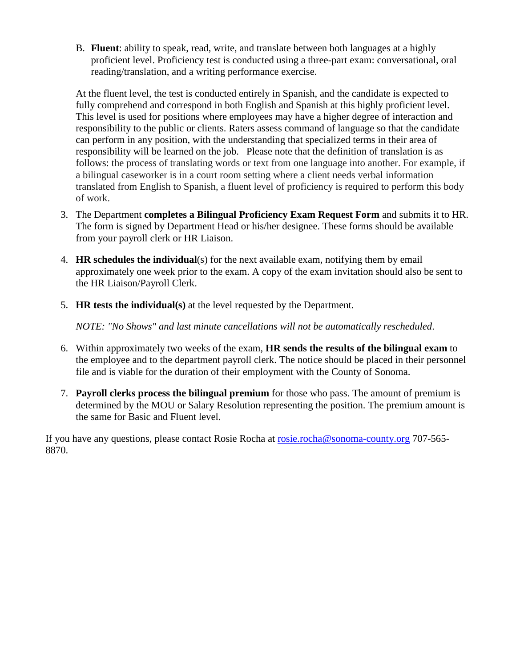B. **Fluent**: ability to speak, read, write, and translate between both languages at a highly proficient level. Proficiency test is conducted using a three-part exam: conversational, oral reading/translation, and a writing performance exercise.

At the fluent level, the test is conducted entirely in Spanish, and the candidate is expected to fully comprehend and correspond in both English and Spanish at this highly proficient level. This level is used for positions where employees may have a higher degree of interaction and responsibility to the public or clients. Raters assess command of language so that the candidate can perform in any position, with the understanding that specialized terms in their area of responsibility will be learned on the job. Please note that the definition of translation is as follows: the process of translating words or text from one language into another. For example, if a bilingual caseworker is in a court room setting where a client needs verbal information translated from English to Spanish, a fluent level of proficiency is required to perform this body of work.

- 3. The Department **completes a Bilingual Proficiency Exam Request Form** and submits it to HR. The form is signed by Department Head or his/her designee. These forms should be available from your payroll clerk or HR Liaison.
- 4. **HR schedules the individual**(s) for the next available exam, notifying them by email approximately one week prior to the exam. A copy of the exam invitation should also be sent to the HR Liaison/Payroll Clerk.
- 5. **HR tests the individual(s)** at the level requested by the Department.

*NOTE: "No Shows" and last minute cancellations will not be automatically rescheduled*.

- 6. Within approximately two weeks of the exam, **HR sends the results of the bilingual exam** to the employee and to the department payroll clerk. The notice should be placed in their personnel file and is viable for the duration of their employment with the County of Sonoma.
- 7. **Payroll clerks process the bilingual premium** for those who pass. The amount of premium is determined by the MOU or Salary Resolution representing the position. The premium amount is the same for Basic and Fluent level.

If you have any questions, please contact Rosie Rocha at [rosie.rocha@sonoma-county.org](mailto:rosie.rocha@sonoma-county.org) 707-565- 8870.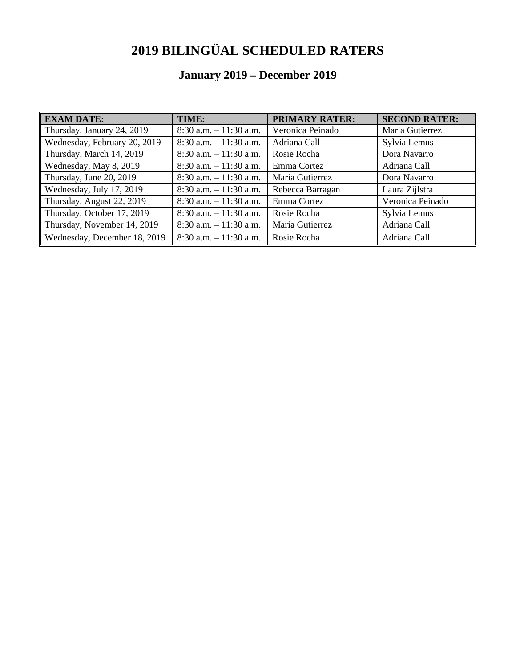## **2019 BILINGÜAL SCHEDULED RATERS**

## **January 2019 – December 2019**

| <b>EXAM DATE:</b>            | TIME:                     | <b>PRIMARY RATER:</b> | <b>SECOND RATER:</b> |
|------------------------------|---------------------------|-----------------------|----------------------|
| Thursday, January 24, 2019   | $8:30$ a.m. $-11:30$ a.m. | Veronica Peinado      | Maria Gutierrez      |
| Wednesday, February 20, 2019 | $8:30$ a.m. $-11:30$ a.m. | Adriana Call          | Sylvia Lemus         |
| Thursday, March 14, 2019     | $8:30$ a.m. $-11:30$ a.m. | Rosie Rocha           | Dora Navarro         |
| Wednesday, May 8, 2019       | $8:30$ a.m. $-11:30$ a.m. | Emma Cortez           | Adriana Call         |
| Thursday, June 20, 2019      | $8:30$ a.m. $-11:30$ a.m. | Maria Gutierrez       | Dora Navarro         |
| Wednesday, July 17, 2019     | $8:30$ a.m. $-11:30$ a.m. | Rebecca Barragan      | Laura Zijlstra       |
| Thursday, August 22, 2019    | $8:30$ a.m. $-11:30$ a.m. | Emma Cortez           | Veronica Peinado     |
| Thursday, October 17, 2019   | $8:30$ a.m. $-11:30$ a.m. | Rosie Rocha           | Sylvia Lemus         |
| Thursday, November 14, 2019  | $8:30$ a.m. $-11:30$ a.m. | Maria Gutierrez       | Adriana Call         |
| Wednesday, December 18, 2019 | $8:30$ a.m. $-11:30$ a.m. | Rosie Rocha           | Adriana Call         |